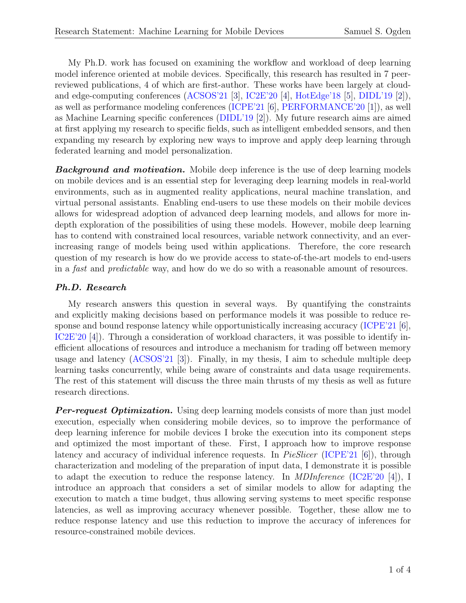My Ph.D. work has focused on examining the workflow and workload of deep learning model inference oriented at mobile devices. Specifically, this research has resulted in 7 peerreviewed publications, 4 of which are first-author. These works have been largely at cloudand edge-computing conferences [\(ACSOS'21](https://www.samogden.net/assets/pdfs/Ogden2021b.pdf) [\[3\]](#page-2-0), [IC2E'20](https://www.samogden.net/assets/pdfs/Ogden2020.pdf) [\[4\]](#page-2-1), [HotEdge'18](https://www.samogden.net/assets/pdfs/Ogden2018.pdf) [\[5\]](#page-2-2), [DIDL'19](https://www.samogden.net/assets/pdfs/Gilman2019.pdf) [\[2\]](#page-2-3)), as well as performance modeling conferences [\(ICPE'21](https://doi.org/10.1145/3427921.3450256) [\[6\]](#page-3-0), [PERFORMANCE'20](https://www.samogden.net/assets/pdfs/Gilman2020a.pdf) [\[1\]](#page-2-4)), as well as Machine Learning specific conferences [\(DIDL'19](https://www.samogden.net/assets/pdfs/Gilman2019.pdf) [\[2\]](#page-2-3)). My future research aims are aimed at first applying my research to specific fields, such as intelligent embedded sensors, and then expanding my research by exploring new ways to improve and apply deep learning through federated learning and model personalization.

**Background and motivation.** Mobile deep inference is the use of deep learning models on mobile devices and is an essential step for leveraging deep learning models in real-world environments, such as in augmented reality applications, neural machine translation, and virtual personal assistants. Enabling end-users to use these models on their mobile devices allows for widespread adoption of advanced deep learning models, and allows for more indepth exploration of the possibilities of using these models. However, mobile deep learning has to contend with constrained local resources, variable network connectivity, and an everincreasing range of models being used within applications. Therefore, the core research question of my research is how do we provide access to state-of-the-art models to end-users in a fast and predictable way, and how do we do so with a reasonable amount of resources.

## Ph.D. Research

My research answers this question in several ways. By quantifying the constraints and explicitly making decisions based on performance models it was possible to reduce response and bound response latency while opportunistically increasing accuracy [\(ICPE'21](https://doi.org/10.1145/3427921.3450256) [\[6\]](#page-3-0), [IC2E'20](https://www.samogden.net/assets/pdfs/Ogden2020.pdf) [\[4\]](#page-2-1)). Through a consideration of workload characters, it was possible to identify inefficient allocations of resources and introduce a mechanism for trading off between memory usage and latency  $(ACSOS'21 \vert 3)$  $(ACSOS'21 \vert 3)$ . Finally, in my thesis, I aim to schedule multiple deep learning tasks concurrently, while being aware of constraints and data usage requirements. The rest of this statement will discuss the three main thrusts of my thesis as well as future research directions.

**Per-request Optimization.** Using deep learning models consists of more than just model execution, especially when considering mobile devices, so to improve the performance of deep learning inference for mobile devices I broke the execution into its component steps and optimized the most important of these. First, I approach how to improve response latency and accuracy of individual inference requests. In *PieSlicer* [\(ICPE'21](https://doi.org/10.1145/3427921.3450256) [\[6\]](#page-3-0)), through characterization and modeling of the preparation of input data, I demonstrate it is possible to adapt the execution to reduce the response latency. In *MDInference* [\(IC2E'20](https://www.samogden.net/assets/pdfs/Ogden2020.pdf) [\[4\]](#page-2-1)), I introduce an approach that considers a set of similar models to allow for adapting the execution to match a time budget, thus allowing serving systems to meet specific response latencies, as well as improving accuracy whenever possible. Together, these allow me to reduce response latency and use this reduction to improve the accuracy of inferences for resource-constrained mobile devices.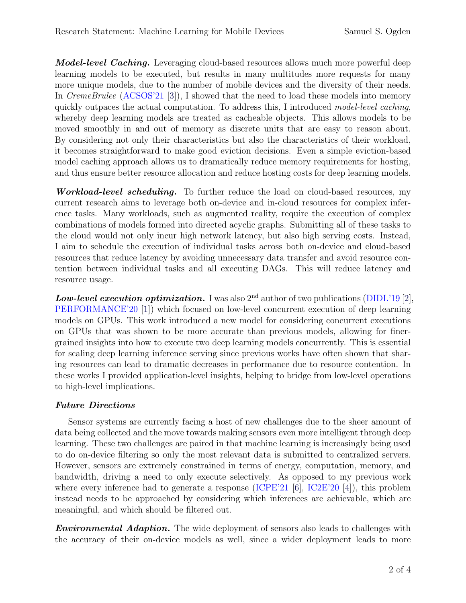**Model-level Caching.** Leveraging cloud-based resources allows much more powerful deep learning models to be executed, but results in many multitudes more requests for many more unique models, due to the number of mobile devices and the diversity of their needs. In CremeBrulee [\(ACSOS'21](https://www.samogden.net/assets/pdfs/Ogden2021b.pdf) [\[3\]](#page-2-0)), I showed that the need to load these models into memory quickly outpaces the actual computation. To address this, I introduced model-level caching, whereby deep learning models are treated as cacheable objects. This allows models to be moved smoothly in and out of memory as discrete units that are easy to reason about. By considering not only their characteristics but also the characteristics of their workload, it becomes straightforward to make good eviction decisions. Even a simple eviction-based model caching approach allows us to dramatically reduce memory requirements for hosting, and thus ensure better resource allocation and reduce hosting costs for deep learning models.

**Workload-level scheduling.** To further reduce the load on cloud-based resources, my current research aims to leverage both on-device and in-cloud resources for complex inference tasks. Many workloads, such as augmented reality, require the execution of complex combinations of models formed into directed acyclic graphs. Submitting all of these tasks to the cloud would not only incur high network latency, but also high serving costs. Instead, I aim to schedule the execution of individual tasks across both on-device and cloud-based resources that reduce latency by avoiding unnecessary data transfer and avoid resource contention between individual tasks and all executing DAGs. This will reduce latency and resource usage.

**Low-level execution optimization.** I was also  $2<sup>nd</sup>$  author of two publications [\(DIDL'19](https://www.samogden.net/assets/pdfs/Gilman2019.pdf) [\[2\]](#page-2-3), [PERFORMANCE'20](https://www.samogden.net/assets/pdfs/Gilman2020a.pdf) [\[1\]](#page-2-4)) which focused on low-level concurrent execution of deep learning models on GPUs. This work introduced a new model for considering concurrent executions on GPUs that was shown to be more accurate than previous models, allowing for finergrained insights into how to execute two deep learning models concurrently. This is essential for scaling deep learning inference serving since previous works have often shown that sharing resources can lead to dramatic decreases in performance due to resource contention. In these works I provided application-level insights, helping to bridge from low-level operations to high-level implications.

## Future Directions

Sensor systems are currently facing a host of new challenges due to the sheer amount of data being collected and the move towards making sensors even more intelligent through deep learning. These two challenges are paired in that machine learning is increasingly being used to do on-device filtering so only the most relevant data is submitted to centralized servers. However, sensors are extremely constrained in terms of energy, computation, memory, and bandwidth, driving a need to only execute selectively. As opposed to my previous work where every inference had to generate a response [\(ICPE'21](https://doi.org/10.1145/3427921.3450256) [\[6\]](#page-3-0), [IC2E'20](https://www.samogden.net/assets/pdfs/Ogden2020.pdf) [\[4\]](#page-2-1)), this problem instead needs to be approached by considering which inferences are achievable, which are meaningful, and which should be filtered out.

**Environmental Adaption.** The wide deployment of sensors also leads to challenges with the accuracy of their on-device models as well, since a wider deployment leads to more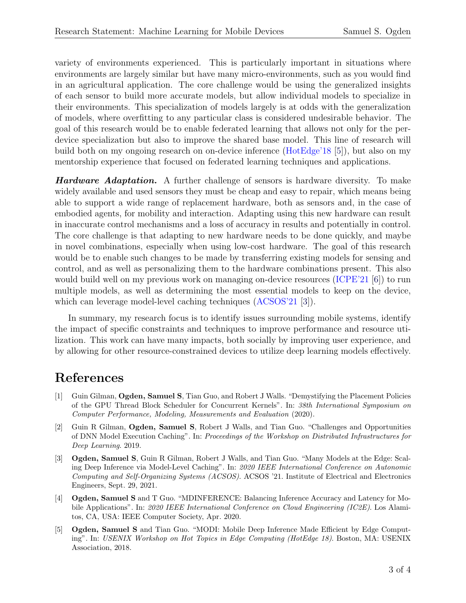variety of environments experienced. This is particularly important in situations where environments are largely similar but have many micro-environments, such as you would find in an agricultural application. The core challenge would be using the generalized insights of each sensor to build more accurate models, but allow individual models to specialize in their environments. This specialization of models largely is at odds with the generalization of models, where overfitting to any particular class is considered undesirable behavior. The goal of this research would be to enable federated learning that allows not only for the perdevice specialization but also to improve the shared base model. This line of research will build both on my ongoing research on on-device inference [\(HotEdge'18](https://www.samogden.net/assets/pdfs/Ogden2018.pdf) [\[5\]](#page-2-2)), but also on my mentorship experience that focused on federated learning techniques and applications.

**Hardware Adaptation.** A further challenge of sensors is hardware diversity. To make widely available and used sensors they must be cheap and easy to repair, which means being able to support a wide range of replacement hardware, both as sensors and, in the case of embodied agents, for mobility and interaction. Adapting using this new hardware can result in inaccurate control mechanisms and a loss of accuracy in results and potentially in control. The core challenge is that adapting to new hardware needs to be done quickly, and maybe in novel combinations, especially when using low-cost hardware. The goal of this research would be to enable such changes to be made by transferring existing models for sensing and control, and as well as personalizing them to the hardware combinations present. This also would build well on my previous work on managing on-device resources [\(ICPE'21](https://doi.org/10.1145/3427921.3450256) [\[6\]](#page-3-0)) to run multiple models, as well as determining the most essential models to keep on the device, which can leverage model-level caching techniques  $(ACSOS'21 \; [3])$  $(ACSOS'21 \; [3])$  $(ACSOS'21 \; [3])$  $(ACSOS'21 \; [3])$ .

In summary, my research focus is to identify issues surrounding mobile systems, identify the impact of specific constraints and techniques to improve performance and resource utilization. This work can have many impacts, both socially by improving user experience, and by allowing for other resource-constrained devices to utilize deep learning models effectively.

## References

- <span id="page-2-4"></span>[1] Guin Gilman, Ogden, Samuel S, Tian Guo, and Robert J Walls. "Demystifying the Placement Policies of the GPU Thread Block Scheduler for Concurrent Kernels". In: 38th International Symposium on Computer Performance, Modeling, Measurements and Evaluation (2020).
- <span id="page-2-3"></span>[2] Guin R Gilman, Ogden, Samuel S, Robert J Walls, and Tian Guo. "Challenges and Opportunities of DNN Model Execution Caching". In: Proceedings of the Workshop on Distributed Infrastructures for Deep Learning. 2019.
- <span id="page-2-0"></span>[3] Ogden, Samuel S, Guin R Gilman, Robert J Walls, and Tian Guo. "Many Models at the Edge: Scaling Deep Inference via Model-Level Caching". In: 2020 IEEE International Conference on Autonomic Computing and Self-Organizing Systems (ACSOS). ACSOS '21. Institute of Electrical and Electronics Engineers, Sept. 29, 2021.
- <span id="page-2-1"></span>[4] Ogden, Samuel S and T Guo. "MDINFERENCE: Balancing Inference Accuracy and Latency for Mobile Applications". In: 2020 IEEE International Conference on Cloud Engineering (IC2E). Los Alamitos, CA, USA: IEEE Computer Society, Apr. 2020.
- <span id="page-2-2"></span>[5] Ogden, Samuel S and Tian Guo. "MODI: Mobile Deep Inference Made Efficient by Edge Computing". In: USENIX Workshop on Hot Topics in Edge Computing (HotEdge 18). Boston, MA: USENIX Association, 2018.